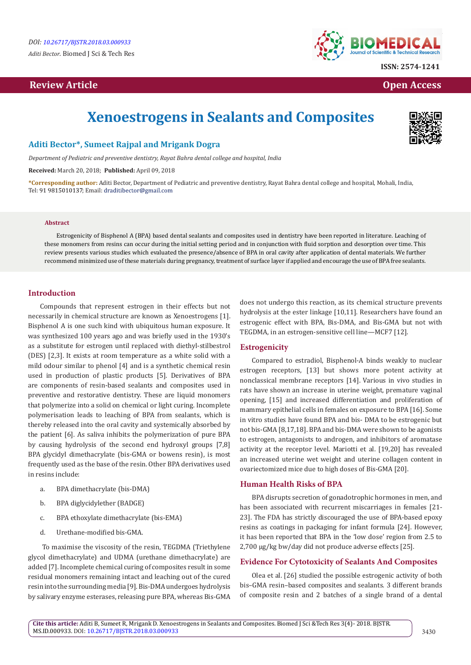# **Review Article Contract Contract Contract Contract Contract Contract Contract Contract Contract Contract Contract Contract Contract Contract Contract Contract Contract Contract Contract Contract Contract Contract Contrac**



# **Xenoestrogens in Sealants and Composites**



# **Aditi Bector\*, Sumeet Rajpal and Mrigank Dogra**

*Department of Pediatric and preventive dentistry, Rayat Bahra dental college and hospital, India*

**Received:** March 20, 2018; **Published:** April 09, 2018

**\*Corresponding author:** Aditi Bector, Department of Pediatric and preventive dentistry, Rayat Bahra dental college and hospital, Mohali, India, Tel: 91 9815010137; Email: draditibector@gmail.com

#### **Abstract**

Estrogenicity of Bisphenol A (BPA) based dental sealants and composites used in dentistry have been reported in literature. Leaching of these monomers from resins can occur during the initial setting period and in conjunction with fluid sorption and desorption over time. This review presents various studies which evaluated the presence/absence of BPA in oral cavity after application of dental materials. We further recommend minimized use of these materials during pregnancy, treatment of surface layer if applied and encourage the use of BPA free sealants.

## **Introduction**

Compounds that represent estrogen in their effects but not necessarily in chemical structure are known as Xenoestrogens [1]. Bisphenol A is one such kind with ubiquitous human exposure. It was synthesized 100 years ago and was briefly used in the 1930's as a substitute for estrogen until replaced with diethyl-stilbestrol (DES) [2,3]. It exists at room temperature as a white solid with a mild odour similar to phenol [4] and is a synthetic chemical resin used in production of plastic products [5]. Derivatives of BPA are components of resin-based sealants and composites used in preventive and restorative dentistry. These are liquid monomers that polymerize into a solid on chemical or light curing. Incomplete polymerisation leads to leaching of BPA from sealants, which is thereby released into the oral cavity and systemically absorbed by the patient [6]. As saliva inhibits the polymerization of pure BPA by causing hydrolysis of the second end hydroxyl groups [7,8] BPA glycidyl dimethacrylate (bis-GMA or bowens resin), is most frequently used as the base of the resin. Other BPA derivatives used in resins include:

- a. BPA dimethacrylate (bis-DMA)
- b. BPA diglycidylether (BADGE)
- c. BPA ethoxylate dimethacrylate (bis-EMA)
- d. Urethane-modified bis-GMA.

 To maximise the viscosity of the resin, TEGDMA (Triethylene glycol dimethacrylate) and UDMA (urethane dimethacrylate) are added [7]. Incomplete chemical curing of composites result in some residual monomers remaining intact and leaching out of the cured resin into the surrounding media [9]. Bis-DMA undergoes hydrolysis by salivary enzyme esterases, releasing pure BPA, whereas Bis-GMA

does not undergo this reaction, as its chemical structure prevents hydrolysis at the ester linkage [10,11]. Researchers have found an estrogenic effect with BPA, Bis-DMA, and Bis-GMA but not with TEGDMA, in an estrogen-sensitive cell line—MCF7 [12].

#### **Estrogenicity**

Compared to estradiol, Bisphenol-A binds weakly to nuclear estrogen receptors, [13] but shows more potent activity at nonclassical membrane receptors [14]. Various in vivo studies in rats have shown an increase in uterine weight, premature vaginal opening, [15] and increased differentiation and proliferation of mammary epithelial cells in females on exposure to BPA [16]. Some in vitro studies have found BPA and bis- DMA to be estrogenic but not bis-GMA [8,17,18]. BPA and bis-DMA were shown to be agonists to estrogen, antagonists to androgen, and inhibitors of aromatase activity at the receptor level. Mariotti et al. [19,20] has revealed an increased uterine wet weight and uterine collagen content in ovariectomized mice due to high doses of Bis-GMA [20].

## **Human Health Risks of BPA**

BPA disrupts secretion of gonadotrophic hormones in men, and has been associated with recurrent miscarriages in females [21- 23]. The FDA has strictly discouraged the use of BPA-based epoxy resins as coatings in packaging for infant formula [24]. However, it has been reported that BPA in the 'low dose' region from 2.5 to 2,700 μg/kg bw/day did not produce adverse effects [25].

#### **Evidence For Cytotoxicity of Sealants And Composites**

Olea et al. [26] studied the possible estrogenic activity of both bis–GMA resin–based composites and sealants. 3 different brands of composite resin and 2 batches of a single brand of a dental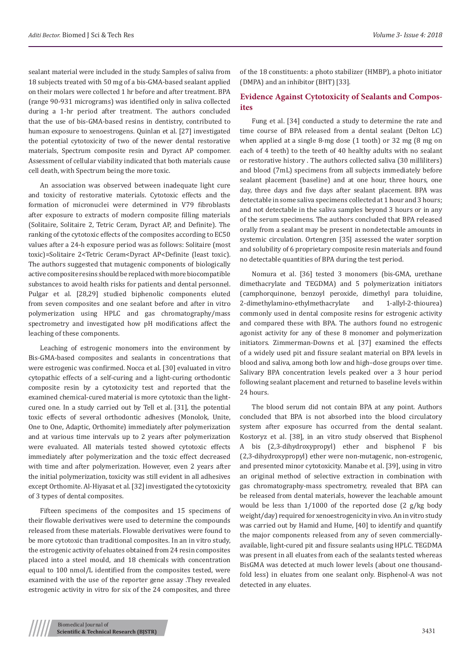sealant material were included in the study. Samples of saliva from 18 subjects treated with 50 mg of a bis-GMA-based sealant applied on their molars were collected 1 hr before and after treatment. BPA (range 90-931 micrograms) was identified only in saliva collected during a 1-hr period after treatment. The authors concluded that the use of bis-GMA-based resins in dentistry, contributed to human exposure to xenoestrogens. Quinlan et al. [27] investigated the potential cytotoxicity of two of the newer dental restorative materials, Spectrum composite resin and Dyract AP compomer. Assessment of cellular viability indicated that both materials cause cell death, with Spectrum being the more toxic.

An association was observed between inadequate light cure and toxicity of restorative materials. Cytotoxic effects and the formation of micronuclei were determined in V79 fibroblasts after exposure to extracts of modern composite filling materials (Solitaire, Solitaire 2, Tetric Ceram, Dyract AP, and Definite). The ranking of the cytotoxic effects of the composites according to EC50 values after a 24-h exposure period was as follows: Solitaire (most toxic)=Solitaire 2<Tetric Ceram<Dyract AP<Definite (least toxic). The authors suggested that mutagenic components of biologically active composite resins should be replaced with more biocompatible substances to avoid health risks for patients and dental personnel. Pulgar et al. [28,29] studied biphenolic components eluted from seven composites and one sealant before and after in vitro polymerization using HPLC and gas chromatography/mass spectrometry and investigated how pH modifications affect the leaching of these components.

Leaching of estrogenic monomers into the environment by Bis-GMA-based composites and sealants in concentrations that were estrogenic was confirmed. Nocca et al. [30] evaluated in vitro cytopathic effects of a self-curing and a light-curing orthodontic composite resin by a cytotoxicity test and reported that the examined chemical-cured material is more cytotoxic than the lightcured one. In a study carried out by Tell et al. [31], the potential toxic effects of several orthodontic adhesives (Monolok, Unite, One to One, Adaptic, Orthomite) immediately after polymerization and at various time intervals up to 2 years after polymerization were evaluated. All materials tested showed cytotoxic effects immediately after polymerization and the toxic effect decreased with time and after polymerization. However, even 2 years after the initial polymerization, toxicity was still evident in all adhesives except Orthomite. Al-Hiyasat et al. [32] investigated the cytotoxicity of 3 types of dental composites.

Fifteen specimens of the composites and 15 specimens of their flowable derivatives were used to determine the compounds released from these materials. Flowable derivatives were found to be more cytotoxic than traditional composites. In an in vitro study, the estrogenic activity of eluates obtained from 24 resin composites placed into a steel mould, and 18 chemicals with concentration equal to 100 nmol/L identified from the composites tested, were examined with the use of the reporter gene assay .They revealed estrogenic activity in vitro for six of the 24 composites, and three

of the 18 constituents: a photo stabilizer (HMBP), a photo initiator (DMPA) and an inhibitor (BHT) [33].

# **Evidence Against Cytotoxicity of Sealants and Composites**

Fung et al. [34] conducted a study to determine the rate and time course of BPA released from a dental sealant (Delton LC) when applied at a single 8-mg dose (1 tooth) or 32 mg (8 mg on each of 4 teeth) to the teeth of 40 healthy adults with no sealant or restorative history . The authors collected saliva (30 milliliters) and blood (7mL) specimens from all subjects immediately before sealant placement (baseline) and at one hour, three hours, one day, three days and five days after sealant placement. BPA was detectable in some saliva specimens collected at 1 hour and 3 hours; and not detectable in the saliva samples beyond 3 hours or in any of the serum specimens. The authors concluded that BPA released orally from a sealant may be present in nondetectable amounts in systemic circulation. Ortengren [35] assessed the water sorption and solubility of 6 proprietary composite resin materials and found no detectable quantities of BPA during the test period.

Nomura et al. [36] tested 3 monomers (bis-GMA, urethane dimethacrylate and TEGDMA) and 5 polymerization initiators (camphorquinone, benzoyl peroxide, dimethyl para toluidine, 2-dimethylamino-ethylmethacrylate and 1-allyl-2-thiourea) commonly used in dental composite resins for estrogenic activity and compared these with BPA. The authors found no estrogenic agonist activity for any of these 8 monomer and polymerization initiators. Zimmerman-Downs et al. [37] examined the effects of a widely used pit and fissure sealant material on BPA levels in blood and saliva, among both low and high–dose groups over time. Salivary BPA concentration levels peaked over a 3 hour period following sealant placement and returned to baseline levels within 24 hours.

The blood serum did not contain BPA at any point. Authors concluded that BPA is not absorbed into the blood circulatory system after exposure has occurred from the dental sealant. Kostoryz et al. [38], in an vitro study observed that Bisphenol A bis (2,3-dihydroxypropyl) ether and bisphenol F bis (2,3-dihydroxypropyl) ether were non-mutagenic, non-estrogenic, and presented minor cytotoxicity. Manabe et al. [39], using in vitro an original method of selective extraction in combination with gas chromatography-mass spectrometry, revealed that BPA can be released from dental materials, however the leachable amount would be less than 1/1000 of the reported dose (2 g/kg body weight/day) required for xenoestrogenicity in vivo. An in vitro study was carried out by Hamid and Hume, [40] to identify and quantify the major components released from any of seven commerciallyavailable, light-cured pit and fissure sealants using HPLC. TEGDMA was present in all eluates from each of the sealants tested whereas BisGMA was detected at much lower levels (about one thousandfold less) in eluates from one sealant only. Bisphenol-A was not detected in any eluates.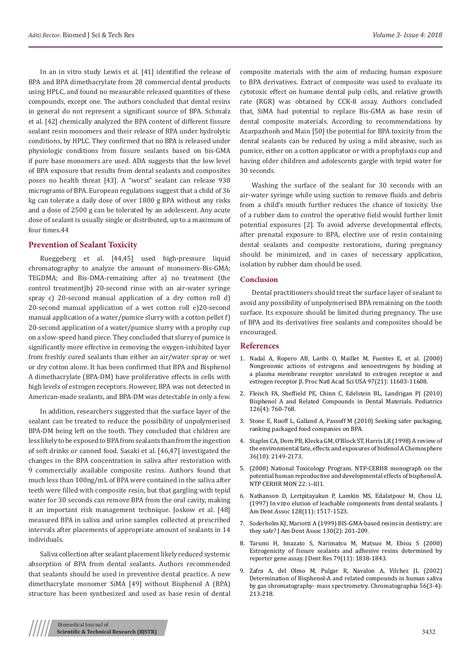In an in vitro study Lewis et al. [41] identified the release of BPA and BPA dimethacrylate from 28 commercial dental products using HPLC, and found no measurable released quantities of these compounds, except one. The authors concluded that dental resins in general do not represent a significant source of BPA. Schmalz et al. [42] chemically analyzed the BPA content of different fissure sealant resin monomers and their release of BPA under hydrolytic conditions, by HPLC. They confirmed that no BPA is released under physiologic conditions from fissure sealants based on bis-GMA if pure base monomers are used. ADA suggests that the low level of BPA exposure that results from dental sealants and composites poses no health threat [43]. A "worst" sealant can release 930 micrograms of BPA. European regulations suggest that a child of 36 kg can tolerate a daily dose of over 1800 g BPA without any risks and a dose of 2500 g can be tolerated by an adolescent. Any acute dose of sealant is usually single or distributed, up to a maximum of four times.44

## **Prevention of Sealant Toxicity**

Rueggeberg et al. [44,45] used high-pressure liquid chromatography to analyze the amount of monomers-Bis-GMA; TEGDMA; and Bis-DMA-remaining after a) no treatment (the control treatment)b) 20-second rinse with an air-water syringe spray c) 20-second manual application of a dry cotton roll d) 20-second manual application of a wet cotton roll e)20-second manual application of a water/pumice slurry with a cotton pellet f) 20-second application of a water/pumice slurry with a prophy cup on a slow-speed hand piece. They concluded that slurry of pumice is significantly more effective in removing the oxygen-inhibited layer from freshly cured sealants than either an air/water spray or wet or dry cotton alone. It has been confirmed that BPA and Bisphenol A dimethacrylate (BPA-DM) have proliferative effects in cells with high levels of estrogen receptors. However, BPA was not detected in American-made sealants, and BPA-DM was detectable in only a few.

In addition, researchers suggested that the surface layer of the sealant can be treated to reduce the possibility of unpolymerised BPA-DM being left on the tooth. They concluded that children are less likely to be exposed to BPA from sealants than from the ingestion of soft drinks or canned food. Sasaki et al. [46,47] investigated the changes in the BPA concentration in saliva after restoration with 9 commercially available composite resins. Authors found that much less than 100ng/mL of BPA were contained in the saliva after teeth were filled with composite resin, but that gargling with tepid water for 30 seconds can remove BPA from the oral cavity, making it an important risk management technique. Joskow et al. [48] measured BPA in saliva and urine samples collected at prescribed intervals after placements of appropriate amount of sealants in 14 individuals.

Saliva collection after sealant placement likely reduced systemic absorption of BPA from dental sealants. Authors recommended that sealants should be used in preventive dental practice. A new dimethacrylate monomer SiMA [49] without Bisphenol A (BPA) structure has been synthesized and used as base resin of dental

composite materials with the aim of reducing human exposure to BPA derivatives. Extract of composite was used to evaluate its cytotoxic effect on humane dental pulp cells, and relative growth rate (RGR) was obtained by CCK-8 assay. Authors concluded that, SiMA had potential to replace Bis-GMA as base resin of dental composite materials. According to recommendations by Azarpazhooh and Main [50] the potential for BPA toxicity from the dental sealants can be reduced by using a mild abrasive, such as pumice, either on a cotton applicator or with a prophylaxis cup and having older children and adolescents gargle with tepid water for 30 seconds.

Washing the surface of the sealant for 30 seconds with an air-water syringe while using suction to remove fluids and debris from a child's mouth further reduces the chance of toxicity. Use of a rubber dam to control the operative field would further limit potential exposures [2]. To avoid adverse developmental effects, after prenatal exposure to BPA, elective use of resin containing dental sealants and composite restorations, during pregnancy should be minimized, and in cases of necessary application, isolation by rubber dam should be used.

# **Conclusion**

Dental practitioners should treat the surface layer of sealant to avoid any possibility of unpolymerised BPA remaining on the tooth surface. Its exposure should be limited during pregnancy. The use of BPA and its derivatives free sealants and composites should be encouraged.

#### **References**

- 1. [Nadal A, Ropero AB, Laribi O, Maillet M, Fuentes E, et al. \(2000\)](https://www.ncbi.nlm.nih.gov/pubmed/11027358) [Nongenomic actions of estrogens and xenoestrogens by binding at](https://www.ncbi.nlm.nih.gov/pubmed/11027358) [a plasma membrane receptor unrelated to estrogen receptor α and](https://www.ncbi.nlm.nih.gov/pubmed/11027358) [estrogen receptor β. Proc Natl Acad Sci USA 97\(21\): 11603-11608.](https://www.ncbi.nlm.nih.gov/pubmed/11027358)
- 2. [Fleisch FA, Sheffield PE, Chinn C, Edelstein BL, Landrigan PJ \(2010\)](https://www.ncbi.nlm.nih.gov/pubmed/20819896) [Bisphenol A and Related Compounds in Dental Materials. Pediatrics](https://www.ncbi.nlm.nih.gov/pubmed/20819896) [126\(4\): 760-768.](https://www.ncbi.nlm.nih.gov/pubmed/20819896)
- 3. [Stone E, Ruoff L, Galland A, Passoff M \(2010\) Seeking safer packaging,](https://www.asyousow.org/reports/seeking-safer-packaging-ranking-packaged-food-companies-on-bpa) [ranking packaged food companies on BPA.](https://www.asyousow.org/reports/seeking-safer-packaging-ranking-packaged-food-companies-on-bpa)
- 4. [Staples CA, Dorn PB, Klecka GM, O'Block ST, Harris LR \(1998\) A review of](https://www.sciencedirect.com/science/article/pii/S0045653597101333) [the environmental fate, effects and exposures of bisfenol A Chemosphere](https://www.sciencedirect.com/science/article/pii/S0045653597101333) [36\(10\): 2149-2173.](https://www.sciencedirect.com/science/article/pii/S0045653597101333)
- 5. (2008) National Toxicology Program. NTP-CERHR monograph on the potential human reproductive and developmental effects of bisphenol A. NTP CERHR MON 22: i–III1.
- 6. [Nathanson D, Lertpitayakun P, Lamkin MS, Edalatpour M, Chou LL](https://www.ncbi.nlm.nih.gov/pubmed/9368436) [\(1997\) In vitro elution of leachable components from dental sealants. J](https://www.ncbi.nlm.nih.gov/pubmed/9368436) [Am Dent Assoc 128\(11\): 1517-1523.](https://www.ncbi.nlm.nih.gov/pubmed/9368436)
- 7. [Soderholm KJ, Mariotti A \(1999\) BIS-GMA-based resins in dentistry: are](https://www.ncbi.nlm.nih.gov/pubmed/10036843) [they safe? J Am Dent Assoc 130\(2\): 201-209.](https://www.ncbi.nlm.nih.gov/pubmed/10036843)
- 8. [Tarumi H, Imazato S, Narimatsu M, Matsuo M, Ebisu S \(2000\)](https://www.ncbi.nlm.nih.gov/pubmed/11145352) [Estrogenicity of fissure sealants and adhesive resins determined by](https://www.ncbi.nlm.nih.gov/pubmed/11145352) [reporter gene assay. J Dent Res 79\(11\): 1838-1843.](https://www.ncbi.nlm.nih.gov/pubmed/11145352)
- 9. [Zafra A, del Olmo M, Pulgar R, Navalon A, Vilchez JL \(2002\)](https://link.springer.com/article/10.1007/BF02493214) [Determination of Bisphenol-A and related compounds in human saliva](https://link.springer.com/article/10.1007/BF02493214) [by gas chromatography- mass spectrometry. Chromatographia 56\(3-4\):](https://link.springer.com/article/10.1007/BF02493214) [213-218.](https://link.springer.com/article/10.1007/BF02493214)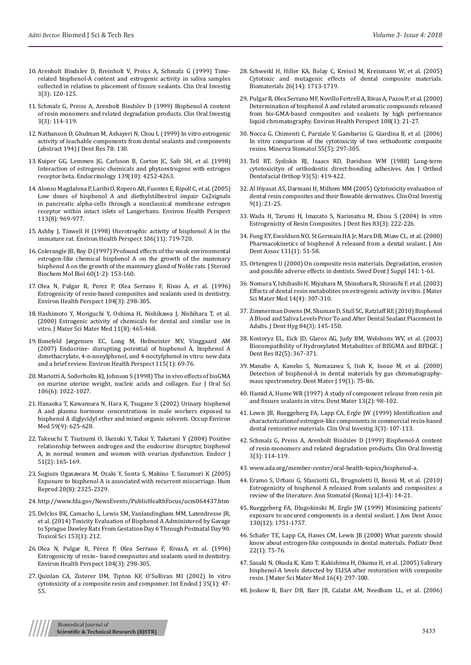- 10. [Arenholt Bindslev D, Breinholt V, Preiss A, Schmalz G \(1999\) Time](https://www.ncbi.nlm.nih.gov/pubmed/10803122)[related bisphenol-A content and estrogenic activity in saliva samples](https://www.ncbi.nlm.nih.gov/pubmed/10803122)  [collected in relation to placement of fissure sealants. Clin Oral Investig](https://www.ncbi.nlm.nih.gov/pubmed/10803122)  [3\(3\): 120-125.](https://www.ncbi.nlm.nih.gov/pubmed/10803122)
- 11. [Schmalz G, Preiss A, Arenholt Bindslev D \(1999\) Bisphenol-A content](https://www.ncbi.nlm.nih.gov/pubmed/10803121)  [of resin monomers and related degradation products. Clin Oral Investig](https://www.ncbi.nlm.nih.gov/pubmed/10803121)  [3\(3\): 114-119.](https://www.ncbi.nlm.nih.gov/pubmed/10803121)
- 12. Nathanson D, Ghulman M, Ashayeri N, Chou L (1999) In vitro estrogenic activity of leachable components from dental sealants and components (abstract 194) J Dent Res 78: 130.
- 13. [Kuiper GG, Lemmen JG, Carlsson B, Corton JC, Safe SH, et al. \(1998\)](https://www.ncbi.nlm.nih.gov/pubmed/9751507)  [Interaction of estrogenic chemicals and phytoestrogens with estrogen](https://www.ncbi.nlm.nih.gov/pubmed/9751507)  [receptor beta. Endocrinology 139\(10\): 4252-4263.](https://www.ncbi.nlm.nih.gov/pubmed/9751507)
- 14. [Alonso Magdalena P, Laribi O, Ropero AB, Fuentes E, Ripoll C, et al. \(2005\)](https://www.ncbi.nlm.nih.gov/pubmed/16079065)  [Low doses of bisphenol A and diethylstilbestrol impair Ca2signals](https://www.ncbi.nlm.nih.gov/pubmed/16079065)  [in pancreatic alpha-cells through a nonclassical membrane estrogen](https://www.ncbi.nlm.nih.gov/pubmed/16079065)  [receptor within intact islets of Langerhans. Environ Health Perspect](https://www.ncbi.nlm.nih.gov/pubmed/16079065)  [113\(8\): 969-977.](https://www.ncbi.nlm.nih.gov/pubmed/16079065)
- 15. [Ashby J, Tinwell H \(1998\) Uterotrophic activity of bisphenol A in the](https://www.ncbi.nlm.nih.gov/pubmed/9799186)  [immature rat. Environ Health Perspect 106\(11\): 719-720.](https://www.ncbi.nlm.nih.gov/pubmed/9799186)
- 16. [Colerangle JB, Roy D \(1997\) Profound effects of the weak environmental](https://www.ncbi.nlm.nih.gov/pubmed/9182870)  [estrogen-like chemical bisphenol A on the growth of the mammary](https://www.ncbi.nlm.nih.gov/pubmed/9182870)  [bisphenol A on the growth of the mammary gland of Noble rats. J Steroid](https://www.ncbi.nlm.nih.gov/pubmed/9182870)  [Biochem Mol Biol 60\(1-2\): 153-160.](https://www.ncbi.nlm.nih.gov/pubmed/9182870)
- 17. [Olea N, Pulgar R, Perez P, Olea Serrano F, Rivas A, et al. \(1996\)](https://www.ncbi.nlm.nih.gov/pubmed/8919768/)  [Estrogenicity of resin-based composites and sealants used in dentistry.](https://www.ncbi.nlm.nih.gov/pubmed/8919768/)  [Environ Health Perspect 104\(3\): 298-305.](https://www.ncbi.nlm.nih.gov/pubmed/8919768/)
- 18. [Hashimoto Y, Moriguchi Y, Oshima H, Nishikawa J, Nishihara T, et al.](https://www.ncbi.nlm.nih.gov/pubmed/15347996)  [\(2000\) Estrogenic activity of chemicals for dental and similar use in](https://www.ncbi.nlm.nih.gov/pubmed/15347996)  [vitro. J Mater Sci Mater Med 11\(8\): 465-468.](https://www.ncbi.nlm.nih.gov/pubmed/15347996)
- 19. [Bonefeld Jørgensen EC, Long M, Hofmeister MV, Vinggaard AM](https://www.ncbi.nlm.nih.gov/pubmed/18174953)  [\(2007\) Endocrine- disrupting potential of bisphenol A, bisphenol A](https://www.ncbi.nlm.nih.gov/pubmed/18174953)  [dimethacrylate, 4-n-nonylphenol, and 4-noctylphenol in vitro: new data](https://www.ncbi.nlm.nih.gov/pubmed/18174953)  [and a brief review. Environ Health Perspect 115\(1\): 69-76.](https://www.ncbi.nlm.nih.gov/pubmed/18174953)
- 20. [Mariotti A, Soderholm KJ, Johnson S \(1998\) The in vivo effects of bisGMA](https://www.ncbi.nlm.nih.gov/pubmed/9879914)  [on murine uterine weight, nucleic acids and collagen. Eur J Oral Sci](https://www.ncbi.nlm.nih.gov/pubmed/9879914)  [106\(6\): 1022-1027.](https://www.ncbi.nlm.nih.gov/pubmed/9879914)
- 21. [Hanaoka T, Kawamura N, Hara K, Tsugane S \(2002\) Urinary bisphenol](https://www.ncbi.nlm.nih.gov/pubmed/12205237/)  [A and plasma hormone concentrations in male workers exposed to](https://www.ncbi.nlm.nih.gov/pubmed/12205237/)  [bisphenol A diglycidyl ether and mixed organic solvents. Occup Environ](https://www.ncbi.nlm.nih.gov/pubmed/12205237/)  [Med 59\(9\): 625-628.](https://www.ncbi.nlm.nih.gov/pubmed/12205237/)
- 22. [Takeuchi T, Tsutsumi O, Ikezuki Y, Takai Y, Taketani Y \(2004\) Positive](https://www.ncbi.nlm.nih.gov/pubmed/15118266)  [relationship between androgen and the endocrine disruptor, bisphenol](https://www.ncbi.nlm.nih.gov/pubmed/15118266)  [A, in normal women and women with ovarian dysfunction. Endocr J](https://www.ncbi.nlm.nih.gov/pubmed/15118266)  [51\(2\): 165-169.](https://www.ncbi.nlm.nih.gov/pubmed/15118266)
- 23. [Sugiura Ogasawara M, Ozaki Y, Sonta S, Makino T, Suzumori K \(2005\)](https://www.ncbi.nlm.nih.gov/pubmed/15947000)  [Exposure to bisphenol A is associated with recurrent miscarriage. Hum](https://www.ncbi.nlm.nih.gov/pubmed/15947000)  [Reprod 20\(8\): 2325-2329.](https://www.ncbi.nlm.nih.gov/pubmed/15947000)
- 24. <http://www.fda.gov/NewsEvents/PublicHealthFocus/ucm064437.htm>
- 25. [Delclos BK, Camacho L, Lewis SM, Vanlandingham MM, Latendresse JR,](https://www.ncbi.nlm.nih.gov/pubmed/27506224)  [et al. \(2014\) Toxicity Evaluation of Bisphenol A Administered by Gavage](https://www.ncbi.nlm.nih.gov/pubmed/27506224)  [to Sprague Dawley Rats From Gestation Day 6 Through Postnatal Day 90.](https://www.ncbi.nlm.nih.gov/pubmed/27506224)  [Toxicol Sci 153\(1\): 212.](https://www.ncbi.nlm.nih.gov/pubmed/27506224)
- 26. Olea N, Pulgar R, P[érez P, Olea Serrano F, RivasA, et al. \(1996\)](https://www.ncbi.nlm.nih.gov/pubmed/8919768/)  [Estrogenicity of resin– based composites and sealants used in dentistry.](https://www.ncbi.nlm.nih.gov/pubmed/8919768/)  [Environ Health Perspect 104\(3\): 298-305.](https://www.ncbi.nlm.nih.gov/pubmed/8919768/)
- 27. [Quinlan CA, Zisterer DM, Tipton KF, O](https://www.ncbi.nlm.nih.gov/pubmed/11853238)'Sullivan MI (2002) In vitro [cytotoxicity of a composite resin and compomer. Int Endod J 35\(1\): 47-](https://www.ncbi.nlm.nih.gov/pubmed/11853238) [55.](https://www.ncbi.nlm.nih.gov/pubmed/11853238)
- 28. [Schweikl H, Hiller KA, Bolay C, Kreissl M, Kreismann W, et al. \(2005\)](https://www.ncbi.nlm.nih.gov/pubmed/15576145) [Cytotoxic and mutagenic effects of dental composite materials.](https://www.ncbi.nlm.nih.gov/pubmed/15576145) [Biomaterials 26\(14\): 1713-1719.](https://www.ncbi.nlm.nih.gov/pubmed/15576145)
- 29. [Pulgar R, Olea Serrano MF, Novillo Fertrell A, Rivas A, Pazos P, et al. \(2000\)](https://www.ncbi.nlm.nih.gov/pubmed/10620520) [Determination of bisphenol A and related aromatic compounds released](https://www.ncbi.nlm.nih.gov/pubmed/10620520) [from bis-GMA-based composites and sealants by high performance](https://www.ncbi.nlm.nih.gov/pubmed/10620520) [liquid chromatography. Environ Health Perspect 108\(1\): 21-27.](https://www.ncbi.nlm.nih.gov/pubmed/10620520)
- 30. [Nocca G, Chimenti C, Parziale V, Gambarini G, Giardina B, et al. \(2006\)](https://www.ncbi.nlm.nih.gov/pubmed/16688106) [In vitro comparison of the cytotoxicity of two orthodontic composite](https://www.ncbi.nlm.nih.gov/pubmed/16688106) [resins. Minerva Stomatol 55\(5\): 297-305.](https://www.ncbi.nlm.nih.gov/pubmed/16688106)
- 31. [Tell RT, Sydiskis RJ, Isaacs RD, Davidson WM \(1988\) Long-term](https://www.ncbi.nlm.nih.gov/pubmed/3284332%5d) [cytotoxicityn of orthodontic direct-bonding adhesives. Am J Orthod](https://www.ncbi.nlm.nih.gov/pubmed/3284332%5d) [Dentofacial Orthop 93\(5\): 419-422.](https://www.ncbi.nlm.nih.gov/pubmed/3284332%5d)
- 32. [Al Hiyasat AS, Darmani H, Milhem MM \(2005\) Cytotoxicity evaluation of](https://www.ncbi.nlm.nih.gov/pubmed/15635474) [dental resin composites and their flowable derivatives. Clin Oral Investig](https://www.ncbi.nlm.nih.gov/pubmed/15635474) [9\(1\): 21-25.](https://www.ncbi.nlm.nih.gov/pubmed/15635474)
- 33. [Wada H, Tarumi H, Imazato S, Narimatsu M, Ebisu S \(2004\) In vitro](https://www.ncbi.nlm.nih.gov/pubmed/14981123) [Estrogenicity of Resin Composites. J Dent Res 83\(3\): 222-226.](https://www.ncbi.nlm.nih.gov/pubmed/14981123)
- 34. [Fung EY, Ewoldsen NO, St Germain HA Jr, Marx DB, Miaw CL, et al. \(2000\)](https://www.ncbi.nlm.nih.gov/pubmed/10649872) [Pharmacokinetics of bisphenol A released from a dental sealant. J Am](https://www.ncbi.nlm.nih.gov/pubmed/10649872) [Dent Assoc 131\(1\): 51-58.](https://www.ncbi.nlm.nih.gov/pubmed/10649872)
- 35. [Ortengren U \(2000\) On composite resin materials. Degradation, erosion](https://www.ncbi.nlm.nih.gov/pubmed/11142798) [and possible adverse effects in dentists. Swed Dent J Suppl 141: 1-61.](https://www.ncbi.nlm.nih.gov/pubmed/11142798)
- 36. [Nomura Y, Ishibashi H, Miyahara M, Shinohara R, Shiraishi F, et al. \(2003\)](https://www.ncbi.nlm.nih.gov/pubmed/15348454) [Effects of dental resin metabolites on estrogenic activity in vitro. J Mater](https://www.ncbi.nlm.nih.gov/pubmed/15348454) [Sci Mater Med 14\(4\): 307-310.](https://www.ncbi.nlm.nih.gov/pubmed/15348454)
- 37. [Zimmerman Downs JM, Shuman D, Stull SC, Ratzlaff RE \(2010\) Bisphenol](https://www.ncbi.nlm.nih.gov/pubmed/20579427) [A Blood and Saliva Levels Prior To and After Dental Sealant Placement In](https://www.ncbi.nlm.nih.gov/pubmed/20579427) [Adults. J Dent Hyg 84\(3\): 145-150.](https://www.ncbi.nlm.nih.gov/pubmed/20579427)
- 38. [Kostoryz EL, Eick JD, Glaros AG, Judy BM, Welshons WV, et al. \(2003\)](https://www.ncbi.nlm.nih.gov/pubmed/12709503) [Biocompatibility of Hydroxylated Metabolites of BISGMA and BFDGE. J](https://www.ncbi.nlm.nih.gov/pubmed/12709503) [Dent Res 82\(5\): 367-371.](https://www.ncbi.nlm.nih.gov/pubmed/12709503)
- 39. [Manabe A, Kaneko S, Numazawa S, Itoh K, Inoue M, et al. \(2000\)](https://www.ncbi.nlm.nih.gov/pubmed/11219092) [Detection of bisphenol-A in dental materials by gas chromatography](https://www.ncbi.nlm.nih.gov/pubmed/11219092)[mass spectrometry. Dent Mater J 19\(1\): 75-86.](https://www.ncbi.nlm.nih.gov/pubmed/11219092)
- 40. [Hamid A, Hume WR \(1997\) A study of component release from resin pit](https://www.sciencedirect.com/science/article/pii/S0109564197800188) [and fissure sealants in vitro. Dent Mater 13\(2\): 98-102.](https://www.sciencedirect.com/science/article/pii/S0109564197800188)
- 41. [Lewis JB, Rueggeberg FA, Lapp CA, Ergle JW \(1999\) Identification and](https://www.ncbi.nlm.nih.gov/pubmed/10803120) [characterizationof estrogen-like components in commercial resin-based](https://www.ncbi.nlm.nih.gov/pubmed/10803120) [dental restorative materials. Clin Oral Investig 3\(3\): 107-113.](https://www.ncbi.nlm.nih.gov/pubmed/10803120)
- 42. [Schmalz G, Preiss A, Arenholt Bindslev D \(1999\) Bisphenol-A content](https://www.ncbi.nlm.nih.gov/pubmed/10803121) [of resin monomers and related degradation products. Clin Oral Investig](https://www.ncbi.nlm.nih.gov/pubmed/10803121) [3\(3\): 114-119.](https://www.ncbi.nlm.nih.gov/pubmed/10803121)
- 43. [www.ada.org/member-center/oral-health-topics/bisphenol-a.](http://www.ada.org/member-center/oral-health-topics/bisphenol-a)
- 44. [Eramo S, Urbani G, Sfasciotti GL, Brugnoletti O, Bossù M, et al. \(2010\)](https://www.ncbi.nlm.nih.gov/pubmed/22238710/) [Estrogenicity of bisphenol A released from sealants and composites: a](https://www.ncbi.nlm.nih.gov/pubmed/22238710/) [review of the literature. Ann Stomatol \(Roma\) 1\(3-4\): 14-21.](https://www.ncbi.nlm.nih.gov/pubmed/22238710/)
- 45. [Rueggeberg FA, Dlugokinski M, Ergle JW \(1999\) Minimizing patients'](https://www.ncbi.nlm.nih.gov/pubmed/10599178) [exposure to uncured components in a dental sealant. J Am Dent Assoc](https://www.ncbi.nlm.nih.gov/pubmed/10599178) [130\(12\): 1751-1757.](https://www.ncbi.nlm.nih.gov/pubmed/10599178)
- 46. [Schafer TE, Lapp CA, Hanes CM, Lewis JB \(2000\) What parents should](https://www.ncbi.nlm.nih.gov/pubmed/10730296) [know about estrogen-like compounds in dental materials. Pediatr Dent](https://www.ncbi.nlm.nih.gov/pubmed/10730296) [22\(1\): 75-76.](https://www.ncbi.nlm.nih.gov/pubmed/10730296)
- 47. [Sasaki N, Okuda K, Kato T, Kakishima H, Okuma H, et al. \(2005\) Salivary](https://www.ncbi.nlm.nih.gov/pubmed/15803273) [bisphenol-A levels detected by ELISA after restoration with composite](https://www.ncbi.nlm.nih.gov/pubmed/15803273) [resin. J Mater Sci Mater Med 16\(4\): 297-300.](https://www.ncbi.nlm.nih.gov/pubmed/15803273)
- 48. [Joskow R, Barr DB, Barr JR, Calafat AM, Needham LL, et al. \(2006\)](https://www.ncbi.nlm.nih.gov/pubmed/16570469)